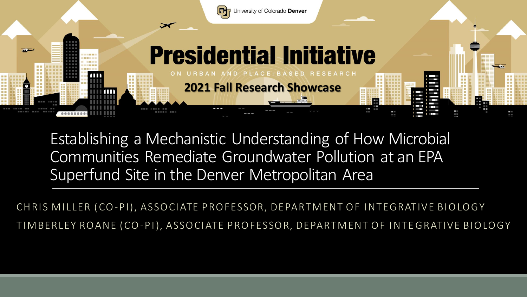

Establishing a Mechanistic Understanding of How Microbial Communities Remediate Groundwater Pollution at an EPA Superfund Site in the Denver Metropolitan Area

CHRIS MILLER (CO-PI), ASSOCIATE PROFESSOR, DEPARTMENT OF INTEGRATIVE BIOLOGY TIM BERLEY ROANE (CO-PI), ASSOCIATE PROFESSOR, DEPARTMENT OF INTEGRATIVE BIOLOGY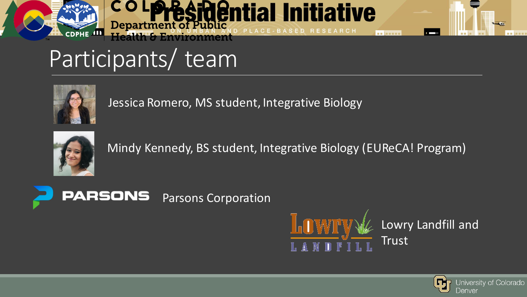



## Participants/ team



Jessica Romero, MS student, Integrative Biology



Mindy Kennedy, BS student, Integrative Biology (EUReCA! Program)





Lowry Landfill and Trust

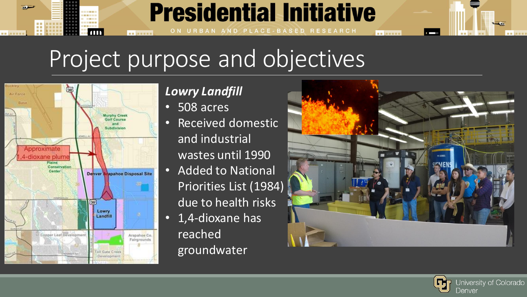### TП **NEW ARRIVER** Project purpose and objectives

**Presidential Initiative** 

ON URBAN AND PLACE-BASED RESEARCH



### *Lowry Landfill*

- 508 acres
- Received domestic and industrial wastes until 1990
- Added to National Priorities List (1984) due to health risks
- 1,4-dioxane has reached groundwater



**NE MENER** 

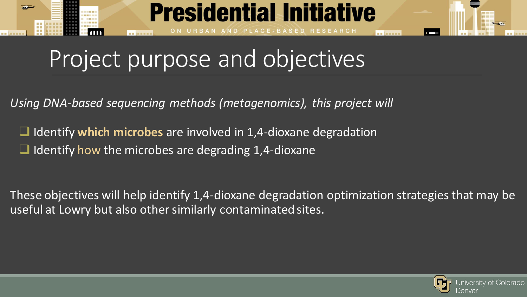

## Project purpose and objectives

*Using DNA-based sequencing methods (metagenomics), this project will*

❑ Identify **which microbes** are involved in 1,4-dioxane degradation  $\Box$  Identify how the microbes are degrading 1,4-dioxane

These objectives will help identify 1,4-dioxane degradation optimization strategies that may be useful at Lowry but also other similarly contaminated sites.

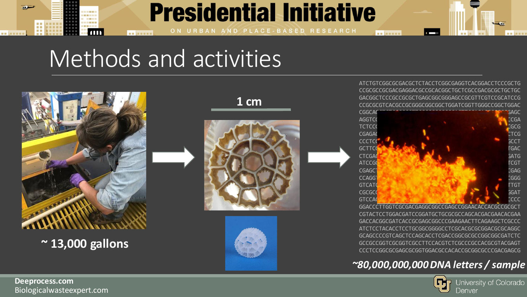

## **Presidential Initiative**

ON URBAN AND PLACE-BASED RESEARCH

## Methods and activities



**~ 13,000 gallons**





ATCTGTCGGCGCGACGCTCTACCTCGGCGAGGTCACGGACCTCCCGCTG CCGCGCCGCGACGAGGACGCCGCACGGCTGCTCGCCGACGCGCTGCTGC GACGGCTCCCGCCGCGCTGAGCGGCGGGAGCCGCGTTCGTCCGCATCCG CCGCGCGTCACGCCGCGGGCGGCGGCTGGATCGGTTGGGCCGGCTGGAC

**BE MENER** 



GGACCCTTGGTCGCGACGAGGCGGCCGAGCCGGAACACCACGCCGCGCT CGTACTCCTGGACGATCCGGATGCTGCGCGCCAGCACGACGAACACGAA GACCACGGCGATCACCGCGAGCGGCCCGAAGAACTTCAGAAGCTCGCCC ATCTCCTACACCTCCTGCGGCGGGGCCTCGCACGCGCGGACGCGCAGGC GCAGCCCCGTCAGCTCCAGCACCTCGACCGGCGCGCCGGCGGCGATCTC GCCGCCGGTCGCGGTCGCCTTCCACGTCTCGCCCGCCACGCGTACGAGT CCCTCCGGCGCGAGCGCGGTGGACGCCACACCGCGGCGCCCGACGAGCG

#### *~80,000,000,000 DNA letters / sample*



Biologicalwasteexpert.com **Deeprocess.com**